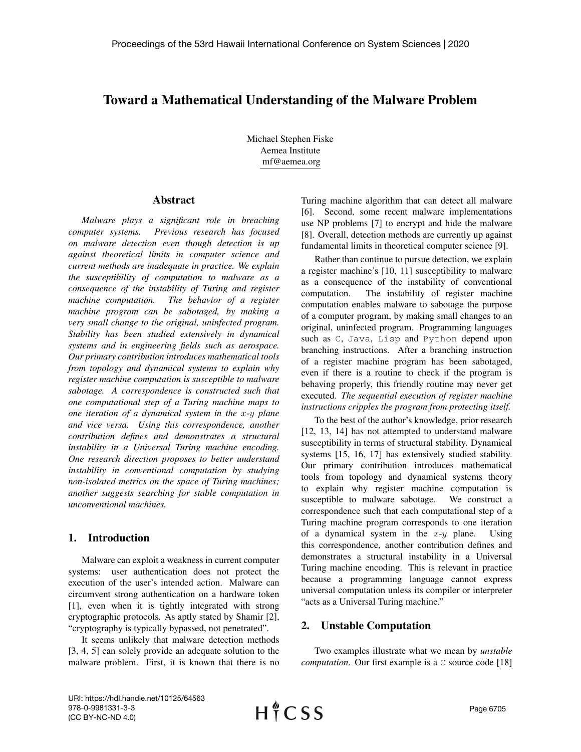# Toward a Mathematical Understanding of the Malware Problem

Michael Stephen Fiske Aemea Institute mf@aemea.org

#### Abstract

*Malware plays a significant role in breaching computer systems. Previous research has focused on malware detection even though detection is up against theoretical limits in computer science and current methods are inadequate in practice. We explain the susceptibility of computation to malware as a consequence of the instability of Turing and register machine computation. The behavior of a register machine program can be sabotaged, by making a very small change to the original, uninfected program. Stability has been studied extensively in dynamical systems and in engineering fields such as aerospace. Our primary contribution introduces mathematical tools from topology and dynamical systems to explain why register machine computation is susceptible to malware sabotage. A correspondence is constructed such that one computational step of a Turing machine maps to one iteration of a dynamical system in the* x*-*y *plane and vice versa. Using this correspondence, another contribution defines and demonstrates a structural instability in a Universal Turing machine encoding. One research direction proposes to better understand instability in conventional computation by studying non-isolated metrics on the space of Turing machines; another suggests searching for stable computation in unconventional machines.*

## 1. Introduction

Malware can exploit a weakness in current computer systems: user authentication does not protect the execution of the user's intended action. Malware can circumvent strong authentication on a hardware token [1], even when it is tightly integrated with strong cryptographic protocols. As aptly stated by Shamir [2], "cryptography is typically bypassed, not penetrated".

It seems unlikely that malware detection methods [3, 4, 5] can solely provide an adequate solution to the malware problem. First, it is known that there is no

Turing machine algorithm that can detect all malware [6]. Second, some recent malware implementations use NP problems [7] to encrypt and hide the malware [8]. Overall, detection methods are currently up against fundamental limits in theoretical computer science [9].

Rather than continue to pursue detection, we explain a register machine's [10, 11] susceptibility to malware as a consequence of the instability of conventional computation. The instability of register machine computation enables malware to sabotage the purpose of a computer program, by making small changes to an original, uninfected program. Programming languages such as C, Java, Lisp and Python depend upon branching instructions. After a branching instruction of a register machine program has been sabotaged, even if there is a routine to check if the program is behaving properly, this friendly routine may never get executed. *The sequential execution of register machine instructions cripples the program from protecting itself.*

To the best of the author's knowledge, prior research [12, 13, 14] has not attempted to understand malware susceptibility in terms of structural stability. Dynamical systems [15, 16, 17] has extensively studied stability. Our primary contribution introduces mathematical tools from topology and dynamical systems theory to explain why register machine computation is susceptible to malware sabotage. We construct a correspondence such that each computational step of a Turing machine program corresponds to one iteration of a dynamical system in the  $x-y$  plane. Using this correspondence, another contribution defines and demonstrates a structural instability in a Universal Turing machine encoding. This is relevant in practice because a programming language cannot express universal computation unless its compiler or interpreter "acts as a Universal Turing machine."

## 2. Unstable Computation

Two examples illustrate what we mean by *unstable computation*. Our first example is a C source code [18]

URI: https://hdl.handle.net/10125/64563 978-0-9981331-3-3 (CC BY-NC-ND 4.0)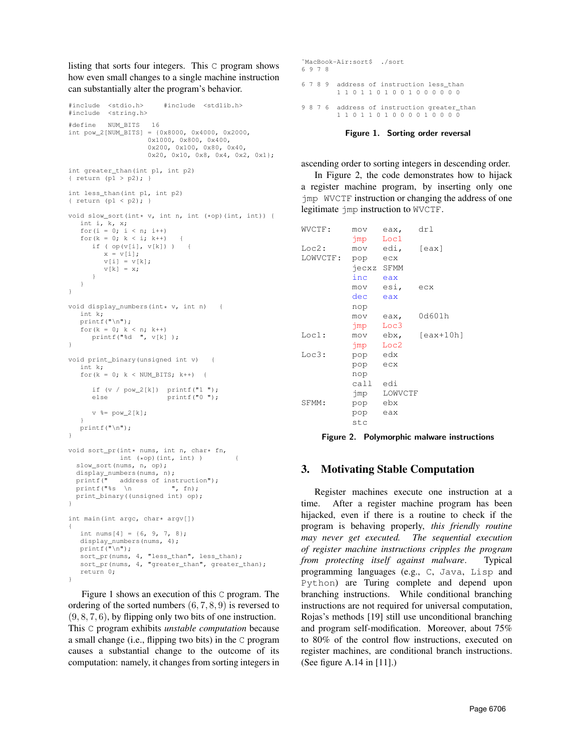listing that sorts four integers. This C program shows how even small changes to a single machine instruction can substantially alter the program's behavior.

```
#include <stdio.h> #include <stdlib.h>
#include <string.h>
#define NUM_BITS 16
int pow_2[NUM_BITS] = {0x8000, 0x4000, 0x2000,
                    0x1000, 0x800, 0x400,
                    0x200, 0x100, 0x80, 0x40,
                    0x20, 0x10, 0x8, 0x4, 0x2, 0x1};
int greater_than(int p1, int p2)
{ return (p1 > p2); }
int less_than(int p1, int p2)
{ return (p1 < p2); }
void slow_sort(int* v, int n, int (*op)(int, int)) {
  int i, k, x;
   for(i = 0; i < n; i++)
  for(k = 0; k < i; k++) {
     if ( op(v[i], v[k]) ) {
        x = v[i];v[i] = v[k];
        v[k] = x;}
  }
}
void display_numbers(int* v, int n) {
  int k;
  printf(\sqrt[m]{n});
  for(k = 0; k < n; k++)
    printf("%d ", v[k] );
}
void print_binary(unsigned int v) {
   int k;
  for(k = 0; k < NUM_BITS; k++) {
     if (v / pow_2[k]) printf("1 ");<br>else printf("0 ");printf("0 ");v %= pow_2[k];
  }
  printf("\n");
}
void sort_pr(int* nums, int n, char* fn,
            int (*op) (int, int) ) {
  slow_sort(nums, n, op);
  display_numbers(nums, n);
 printf(" address of instruction");
 printf("s s \n\rightharpoonup n ", fn);
 print_binary((unsigned int) op);
}
int main(int argc, char* argv[])
{
  int nums [4] = \{6, 9, 7, 8\};display_numbers(nums, 4);
  printf("\n");
   sort_pr(nums, 4, "less_than", less_than);
  sort_pr(nums, 4, "greater_than", greater_than);
   return 0;
```

```
}
```
Figure 1 shows an execution of this C program. The ordering of the sorted numbers (6, 7, 8, 9) is reversed to  $(9, 8, 7, 6)$ , by flipping only two bits of one instruction. This C program exhibits *unstable computation* because a small change (i.e., flipping two bits) in the C program causes a substantial change to the outcome of its computation: namely, it changes from sorting integers in

```
˜MacBook-Air:sort$ ./sort
6 9 7 8
6 7 8 9 address of instruction less_than
        1 1 0 1 1 0 1 0 0 1 0 0 0 0 0 0
9 8 7 6 address of instruction greater_than
         1 1 0 1 1 0 1 0 0 0 0 1 0 0 0 0
```
Figure 1. Sorting order reversal

ascending order to sorting integers in descending order.

In Figure 2, the code demonstrates how to hijack a register machine program, by inserting only one jmp WVCTF instruction or changing the address of one legitimate jmp instruction to WVCTF.

| WVCTF:           | MOV                        | eax,        | drl           |
|------------------|----------------------------|-------------|---------------|
|                  | jmp Loc1                   |             |               |
| Loc2:            |                            | mov edi,    | [ <i>ex</i> ] |
| LOWVCTF: pop ecx |                            |             |               |
|                  | jecxz SFMM                 |             |               |
|                  | inc.                       | eax         |               |
|                  | mov esi,                   |             | ecx           |
|                  | dec                        | eax         |               |
|                  | nop                        |             |               |
|                  | mov                        | eax,        | 0d601h        |
|                  | $\text{imp}$ $\text{Loc3}$ |             |               |
| Loc1:            |                            | mov ebx,    | $[ear+10h]$   |
|                  | $\gamma$ mp Loc2           |             |               |
| Loc3:            | pop edx                    |             |               |
|                  | pop ecx                    |             |               |
|                  | nop                        |             |               |
|                  | call edi                   |             |               |
|                  |                            | jmp LOWVCTF |               |
| SFMM:            | pop ebx                    |             |               |
|                  | pop                        | eax         |               |
|                  | stc                        |             |               |

Figure 2. Polymorphic malware instructions

# 3. Motivating Stable Computation

Register machines execute one instruction at a time. After a register machine program has been hijacked, even if there is a routine to check if the program is behaving properly, *this friendly routine may never get executed. The sequential execution of register machine instructions cripples the program from protecting itself against malware*. Typical programming languages (e.g., C, Java, Lisp and Python) are Turing complete and depend upon branching instructions. While conditional branching instructions are not required for universal computation, Rojas's methods [19] still use unconditional branching and program self-modification. Moreover, about 75% to 80% of the control flow instructions, executed on register machines, are conditional branch instructions. (See figure A.14 in [11].)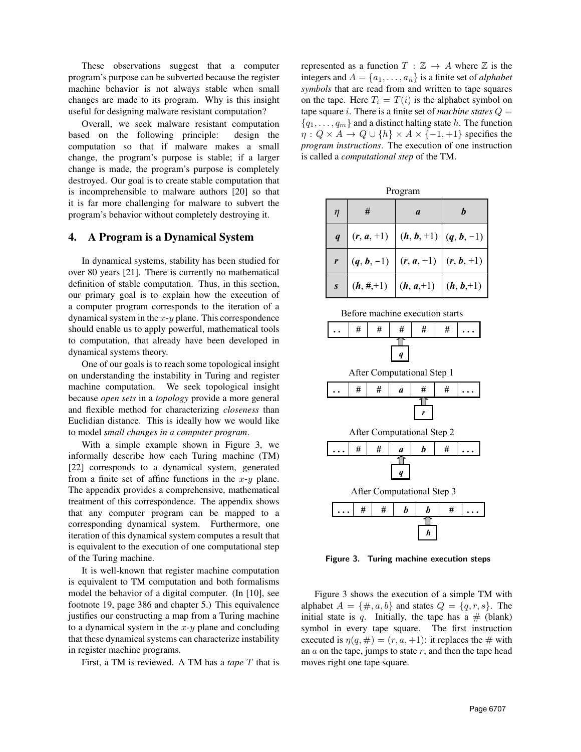These observations suggest that a computer program's purpose can be subverted because the register machine behavior is not always stable when small changes are made to its program. Why is this insight useful for designing malware resistant computation?

Overall, we seek malware resistant computation based on the following principle: design the computation so that if malware makes a small change, the program's purpose is stable; if a larger change is made, the program's purpose is completely destroyed. Our goal is to create stable computation that is incomprehensible to malware authors  $[20]$  so that it is far more challenging for malware to subvert the program's behavior without completely destroying it. **.**

# 4. A Program is a Dynamical System

In dynamical systems, stability has been studied for over 80 years [21]. There is currently no mathematical definition of stable computation. Thus, in this section, **.** our primary goal is to explain how the execution of a computer program corresponds to the iteration of a dynamical system in the x-y plane. This correspondence should enable us to apply powerful, mathematical tools to computation, that already have been developed in dynamical systems theory. After Computational Step 1

One of our goals is to reach some topological insight on understanding the instability in Turing and register machine computation. We seek topological insight because *open sets* in a *topology* provide a more general and flexible method for characterizing *closeness* than Euclidian distance. This is ideally how we would like *h* to model *small changes in a computer program*.

With a simple example shown in Figure 3, we informally describe how each Turing machine (TM) [22] corresponds to a dynamical system, generated from a finite set of affine functions in the  $x-y$  plane. The appendix provides a comprehensive, mathematical treatment of this correspondence. The appendix shows that any computer program can be mapped to a corresponding dynamical system. Furthermore, one iteration of this dynamical system computes a result that is equivalent to the execution of one computational step of the Turing machine.

It is well-known that register machine computation is equivalent to TM computation and both formalisms model the behavior of a digital computer. (In [10], see footnote 19, page 386 and chapter 5.) This equivalence justifies our constructing a map from a Turing machine to a dynamical system in the  $x-y$  plane and concluding that these dynamical systems can characterize instability in register machine programs.

First, a TM is reviewed. A TM has a *tape* T that is

represented as a function  $T : \mathbb{Z} \to A$  where  $\mathbb Z$  is the integers and  $A = \{a_1, \ldots, a_n\}$  is a finite set of *alphabet symbols* that are read from and written to tape squares on the tape. Here  $T_i = T(i)$  is the alphabet symbol on tape square i. There is a finite set of *machine states*  $Q =$  ${q_1, \ldots, q_m}$  and a distinct halting state h. The function  $\eta: Q \times A \to Q \cup \{h\} \times A \times \{-1, +1\}$  specifies the *program instructions*. The execution of one instruction is called a *computational step* of the TM.

| Program                                        |               |              |               |                  |   |                  |
|------------------------------------------------|---------------|--------------|---------------|------------------|---|------------------|
| $\eta$                                         | #             |              |               | $\boldsymbol{a}$ |   | $\boldsymbol{b}$ |
| $\boldsymbol{q}$                               |               | $(r, a, +1)$ |               | $(h, b, +1)$     |   | $(q, b, -1)$     |
| r                                              | $(q, b, -1)$  |              |               | $(r, a, +1)$     |   | $(r, b, +1)$     |
| $\boldsymbol{S}$                               | $(h, \#, +1)$ |              |               | $(h, a, +1)$     |   | $(h, b, +1)$     |
| Before machine execution starts                |               |              |               |                  |   |                  |
|                                                | #             | #            | #             | #                | # |                  |
| $\boldsymbol{q}$<br>After Computational Step 1 |               |              |               |                  |   |                  |
|                                                | #             | #            | $\mathfrak a$ | #                | # |                  |
| r                                              |               |              |               |                  |   |                  |
| After Computational Step 2                     |               |              |               |                  |   |                  |
|                                                | #             | #            | a             | b                | # |                  |
| $\boldsymbol{q}$                               |               |              |               |                  |   |                  |
| After Computational Step 3                     |               |              |               |                  |   |                  |
|                                                | #             | #            | h             | b                | # |                  |
|                                                |               |              |               | h                |   |                  |

Figure 3. Turing machine execution steps

Figure 3 shows the execution of a simple TM with alphabet  $A = \{\#, a, b\}$  and states  $Q = \{q, r, s\}$ . The initial state is q. Initially, the tape has a  $#$  (blank) symbol in every tape square. The first instruction executed is  $\eta(q, \#) = (r, a, +1)$ : it replaces the  $\#$  with an  $a$  on the tape, jumps to state  $r$ , and then the tape head moves right one tape square.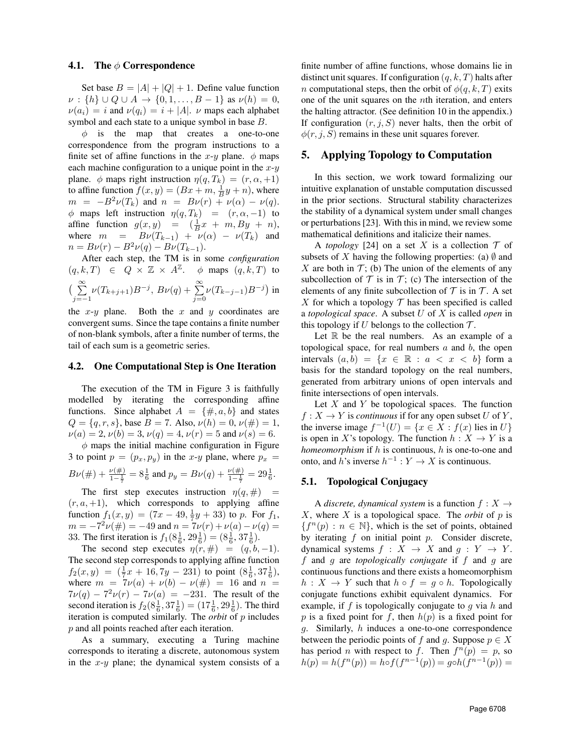#### 4.1. The  $\phi$  Correspondence

Set base  $B = |A| + |Q| + 1$ . Define value function  $\nu : \{h\} \cup Q \cup A \to \{0, 1, \ldots, B - 1\}$  as  $\nu(h) = 0$ ,  $\nu(a_i) = i$  and  $\nu(q_i) = i + |A|$ .  $\nu$  maps each alphabet symbol and each state to a unique symbol in base B.

 $\phi$  is the map that creates a one-to-one correspondence from the program instructions to a finite set of affine functions in the x-y plane.  $\phi$  maps each machine configuration to a unique point in the  $x-y$ plane.  $\phi$  maps right instruction  $\eta(q, T_k) = (r, \alpha, +1)$ to affine function  $f(x, y) = (Bx + m, \frac{1}{B}y + n)$ , where  $m = -B^2 \nu(T_k)$  and  $n = B\nu(r) + \nu(\alpha) - \nu(q)$ .  $\phi$  maps left instruction  $\eta(q, T_k) = (r, \alpha, -1)$  to affine function  $g(x, y) = (\frac{1}{B}x + m, By + n)$ , where  $m = B\nu(T_{k-1}) + \nu(\alpha) - \nu(T_k)$  and  $n = B\nu(r) - B^2\nu(q) - B\nu(T_{k-1}).$ 

After each step, the TM is in some *configuration*  $(q, k, T) \in Q \times \mathbb{Z} \times A^{\mathbb{Z}}$ .  $\phi$  maps  $(q, k, T)$  to  $\left(\begin{array}{c}\infty\\ \sum\end{array}\right)$  $\sum_{j=-1}^{\infty} \nu(T_{k+j+1}) B^{-j}, B\nu(q) + \sum_{j=0}^{\infty}$  $\sum_{j=0} \nu(T_{k-j-1})B^{-j}$ ) in

the  $x-y$  plane. Both the  $x$  and  $y$  coordinates are convergent sums. Since the tape contains a finite number of non-blank symbols, after a finite number of terms, the tail of each sum is a geometric series.

#### 4.2. One Computational Step is One Iteration

The execution of the TM in Figure 3 is faithfully modelled by iterating the corresponding affine functions. Since alphabet  $A = \{\#, a, b\}$  and states  $Q = \{q, r, s\}$ , base  $B = 7$ . Also,  $\nu(h) = 0$ ,  $\nu(\#) = 1$ ,  $\nu(a) = 2, \nu(b) = 3, \nu(q) = 4, \nu(r) = 5 \text{ and } \nu(s) = 6.$ 

 $\phi$  maps the initial machine configuration in Figure 3 to point  $p = (p_x, p_y)$  in the x-y plane, where  $p_x$  =  $B\nu(\#) + \frac{\nu(\#)}{1-\frac{1}{7}} = 8\frac{1}{6}$  and  $p_y = B\nu(q) + \frac{\nu(\#)}{1-\frac{1}{7}} = 29\frac{1}{6}$ .

The first step executes instruction  $\eta(q, \#)$  =  $(r, a, +1)$ , which corresponds to applying affine function  $f_1(x,y) = (7x - 49, \frac{1}{7}y + 33)$  to p. For  $f_1$ ,  $m = -7^2 \nu(\#) = -49$  and  $n = 7\nu(r) + \nu(a) - \nu(q) =$ 33. The first iteration is  $f_1(8\frac{1}{6}, 29\frac{1}{6}) = (8\frac{1}{6}, 37\frac{1}{6}).$ 

The second step executes  $\eta(r, \#) = (q, b, -1)$ . The second step corresponds to applying affine function  $f_2(x,y) = (\frac{1}{7}x + 16, 7y - 231)$  to point  $(8\frac{1}{6}, 37\frac{1}{6}),$ where  $m = 7\nu(a) + \nu(b) - \nu(\#) = 16$  and  $n =$  $7\nu(q) - 7^2\nu(r) - 7\nu(a) = -231$ . The result of the second iteration is  $f_2(8\frac{1}{6}, 37\frac{1}{6}) = (17\frac{1}{6}, 29\frac{1}{6})$ . The third iteration is computed similarly. The *orbit* of p includes p and all points reached after each iteration.

As a summary, executing a Turing machine corresponds to iterating a discrete, autonomous system in the  $x-y$  plane; the dynamical system consists of a

finite number of affine functions, whose domains lie in distinct unit squares. If configuration  $(q, k, T)$  halts after *n* computational steps, then the orbit of  $\phi(q, k, T)$  exits one of the unit squares on the nth iteration, and enters the halting attractor. (See definition 10 in the appendix.) If configuration  $(r, j, S)$  never halts, then the orbit of  $\phi(r, j, S)$  remains in these unit squares forever.

## 5. Applying Topology to Computation

In this section, we work toward formalizing our intuitive explanation of unstable computation discussed in the prior sections. Structural stability characterizes the stability of a dynamical system under small changes or perturbations [23]. With this in mind, we review some mathematical definitions and italicize their names.

A *topology* [24] on a set X is a collection  $\mathcal T$  of subsets of X having the following properties: (a)  $\emptyset$  and X are both in  $\mathcal{T}$ ; (b) The union of the elements of any subcollection of  $\mathcal T$  is in  $\mathcal T$ ; (c) The intersection of the elements of any finite subcollection of  $T$  is in  $T$ . A set X for which a topology  $\mathcal T$  has been specified is called a *topological space*. A subset U of X is called *open* in this topology if U belongs to the collection  $\mathcal{T}$ .

Let  $\mathbb R$  be the real numbers. As an example of a topological space, for real numbers  $a$  and  $b$ , the open intervals  $(a, b) = \{x \in \mathbb{R} : a < x < b\}$  form a basis for the standard topology on the real numbers, generated from arbitrary unions of open intervals and finite intersections of open intervals.

Let  $X$  and  $Y$  be topological spaces. The function  $f: X \to Y$  is *continuous* if for any open subset U of Y, the inverse image  $f^{-1}(U) = \{x \in X : f(x) \text{ lies in } U\}$ is open in X's topology. The function  $h: X \to Y$  is a *homeomorphism* if h is continuous, h is one-to-one and onto, and h's inverse  $h^{-1}: Y \to X$  is continuous.

### 5.1. Topological Conjugacy

A *discrete, dynamical system* is a function  $f: X \rightarrow$  $X$ , where  $X$  is a topological space. The *orbit* of  $p$  is  ${f^n(p) : n \in \mathbb{N}}$ , which is the set of points, obtained by iterating  $f$  on initial point  $p$ . Consider discrete, dynamical systems  $f : X \rightarrow X$  and  $g : Y \rightarrow Y$ . f and g are *topologically conjugate* if f and g are continuous functions and there exists a homeomorphism  $h: X \to Y$  such that  $h \circ f = g \circ h$ . Topologically conjugate functions exhibit equivalent dynamics. For example, if  $f$  is topologically conjugate to  $g$  via  $h$  and p is a fixed point for f, then  $h(p)$  is a fixed point for g. Similarly, h induces a one-to-one correspondence between the periodic points of f and g. Suppose  $p \in X$ has period *n* with respect to f. Then  $f^{(n)}(p) = p$ , so  $h(p) = h(f^{n}(p)) = h \circ f(f^{n-1}(p)) = g \circ h(f^{n-1}(p)) =$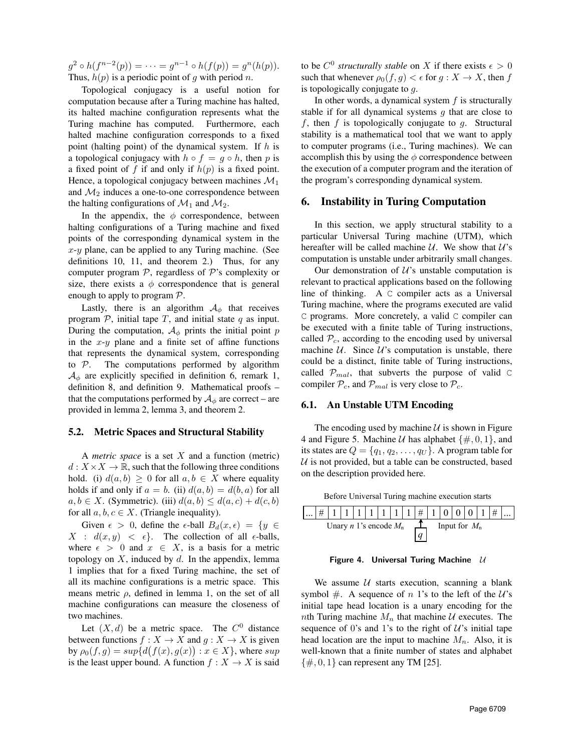$g^2 \circ h(f^{n-2}(p)) = \cdots = g^{n-1} \circ h(f(p)) = g^n(h(p)).$ Thus,  $h(p)$  is a periodic point of g with period n.

Topological conjugacy is a useful notion for computation because after a Turing machine has halted, its halted machine configuration represents what the Turing machine has computed. Furthermore, each halted machine configuration corresponds to a fixed point (halting point) of the dynamical system. If  $h$  is a topological conjugacy with  $h \circ f = g \circ h$ , then p is a fixed point of f if and only if  $h(p)$  is a fixed point. Hence, a topological conjugacy between machines  $\mathcal{M}_1$ and  $\mathcal{M}_2$  induces a one-to-one correspondence between the halting configurations of  $\mathcal{M}_1$  and  $\mathcal{M}_2$ .

In the appendix, the  $\phi$  correspondence, between halting configurations of a Turing machine and fixed points of the corresponding dynamical system in the  $x-y$  plane, can be applied to any Turing machine. (See definitions 10, 11, and theorem 2.) Thus, for any computer program  $P$ , regardless of  $P$ 's complexity or size, there exists a  $\phi$  correspondence that is general enough to apply to program  $P$ .

Lastly, there is an algorithm  $A_{\phi}$  that receives program  $P$ , initial tape  $T$ , and initial state  $q$  as input. During the computation,  $A_{\phi}$  prints the initial point p in the  $x-y$  plane and a finite set of affine functions that represents the dynamical system, corresponding to  $P$ . The computations performed by algorithm  $A_{\phi}$  are explicitly specified in definition 6, remark 1, definition 8, and definition 9. Mathematical proofs – that the computations performed by  $A_{\phi}$  are correct – are provided in lemma 2, lemma 3, and theorem 2.

#### 5.2. Metric Spaces and Structural Stability

A *metric space* is a set X and a function (metric)  $d: X \times X \to \mathbb{R}$ , such that the following three conditions hold. (i)  $d(a, b) > 0$  for all  $a, b \in X$  where equality holds if and only if  $a = b$ . (ii)  $d(a, b) = d(b, a)$  for all  $a, b \in X$ . (Symmetric). (iii)  $d(a, b) \leq d(a, c) + d(c, b)$ for all  $a, b, c \in X$ . (Triangle inequality).

Given  $\epsilon > 0$ , define the  $\epsilon$ -ball  $B_d(x, \epsilon) = \{y \in$  $X : d(x, y) < \epsilon$ . The collection of all  $\epsilon$ -balls, where  $\epsilon > 0$  and  $x \in X$ , is a basis for a metric topology on  $X$ , induced by  $d$ . In the appendix, lemma 1 implies that for a fixed Turing machine, the set of all its machine configurations is a metric space. This means metric  $\rho$ , defined in lemma 1, on the set of all machine configurations can measure the closeness of two machines.

Let  $(X, d)$  be a metric space. The  $C^0$  distance between functions  $f : X \to X$  and  $g : X \to X$  is given by  $\rho_0(f,g) = sup\{d(f(x),g(x)) : x \in X\}$ , where  $sup$ is the least upper bound. A function  $f : X \to X$  is said

to be  $C^0$  *structurally stable* on X if there exists  $\epsilon > 0$ such that whenever  $\rho_0(f, g) < \epsilon$  for  $g: X \to X$ , then f is topologically conjugate to g.

In other words, a dynamical system  $f$  is structurally stable if for all dynamical systems  $q$  that are close to f, then f is topologically conjugate to q. Structural stability is a mathematical tool that we want to apply to computer programs (i.e., Turing machines). We can accomplish this by using the  $\phi$  correspondence between the execution of a computer program and the iteration of the program's corresponding dynamical system.

#### 6. Instability in Turing Computation

In this section, we apply structural stability to a particular Universal Turing machine (UTM), which hereafter will be called machine  $U$ . We show that  $U$ 's computation is unstable under arbitrarily small changes.

Our demonstration of  $U$ 's unstable computation is relevant to practical applications based on the following line of thinking. A C compiler acts as a Universal Turing machine, where the programs executed are valid C programs. More concretely, a valid C compiler can be executed with a finite table of Turing instructions, called  $P_c$ , according to the encoding used by universal machine  $U$ . Since  $U$ 's computation is unstable, there could be a distinct, finite table of Turing instructions, called  $\mathcal{P}_{mal}$ , that subverts the purpose of valid C compiler  $P_c$ , and  $P_{mal}$  is very close to  $P_c$ .

#### 6.1. An Unstable UTM Encoding

The encoding used by machine  $U$  is shown in Figure 4 and Figure 5. Machine *U* has alphabet  $\{\#, 0, 1\}$ , and its states are  $Q = \{q_1, q_2, \ldots, q_U\}$ . A program table for  $U$  is not provided, but a table can be constructed, based on the description provided here.

 Before Universal Turing machine execution starts  $\vert \# \vert 1 \vert 1 \vert 1 \vert 1 \vert 1 \vert 1 \vert 1 \vert 1 \vert \# \vert 1 \vert 0 \vert 0 \vert 0 \vert 1 \vert 1 \vert 1$ *q* Unary *n* 1's encode  $M_n$   $\uparrow$  Input for  $M_n$ 

Figure 4. Universal Turing Machine  $U$ 

We assume  $U$  starts execution, scanning a blank symbol #. A sequence of n 1's to the left of the  $U$ 's initial tape head location is a unary encoding for the nth Turing machine  $M_n$  that machine U executes. The sequence of 0's and 1's to the right of  $\mathcal{U}$ 's initial tape head location are the input to machine  $M_n$ . Also, it is well-known that a finite number of states and alphabet  $\{\#, 0, 1\}$  can represent any TM [25].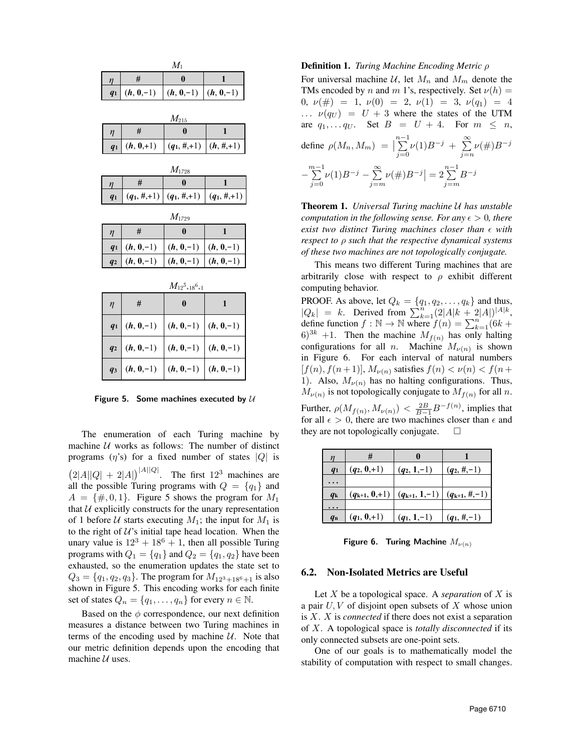| $M_1$          |                                    |                           |                 |  |  |
|----------------|------------------------------------|---------------------------|-----------------|--|--|
| $\eta$         | #                                  | 0                         | 1               |  |  |
| q <sub>1</sub> | $(h, 0, -1)$                       | $(h, 0, -1)$              | $(h, 0, -1)$    |  |  |
|                |                                    |                           |                 |  |  |
|                | $M_{215}$                          |                           |                 |  |  |
| η              | #                                  | $\mathbf{0}$              | $\mathbf{1}$    |  |  |
| q <sub>1</sub> | $(h, 0, +1)$                       | $(q_1, \#, +1)$           | $(h, \#, +1)$   |  |  |
| $M_{1728}$     |                                    |                           |                 |  |  |
| η              | #                                  | $\mathbf{0}$              | 1               |  |  |
| q <sub>1</sub> | $(q_1, \#, +1)$<br>$(q_1, \#, +1)$ |                           | $(q_1, \#, +1)$ |  |  |
| $M_{1729}$     |                                    |                           |                 |  |  |
|                |                                    |                           |                 |  |  |
| $\eta$         | #                                  | $\bf{0}$                  | 1               |  |  |
| q <sub>1</sub> | $(h, 0, -1)$                       | $(h, 0, -1)$              | $(h, 0, -1)$    |  |  |
| q <sub>2</sub> | $(h, 0, -1)$                       | $(h, 0, -1)$              | $(h, 0, -1)$    |  |  |
|                |                                    | $M_{12^3 \pm 18^6 \pm 1}$ |                 |  |  |
| $\eta$         | #                                  | $\bf{0}$                  | $\mathbf{1}$    |  |  |
| q <sub>1</sub> | $(h, 0, -1)$                       | $(h, 0, -1)$              | $(h, 0, -1)$    |  |  |
| q <sub>2</sub> | $(h, 0, -1)$                       | $(h, 0, -1)$              | $(h, 0, -1)$    |  |  |

Figure 5. Some machines executed by  $U$ 

The enumeration of each Turing machine by machine  $U$  works as follows: The number of distinct programs  $(\eta's)$  for a fixed number of states  $|Q|$  is  $(2|A||Q| + 2|A|)^{|A||Q|}$ . The first 12<sup>3</sup> machines are all the possible Turing programs with  $Q = \{q_1\}$  and  $A = \{\#, 0, 1\}$ . Figure 5 shows the program for  $M_1$ that  $U$  explicitly constructs for the unary representation of 1 before U starts executing  $M_1$ ; the input for  $M_1$  is to the right of  $U$ 's initial tape head location. When the unary value is  $12^3 + 18^6 + 1$ , then all possible Turing programs with  $Q_1 = \{q_1\}$  and  $Q_2 = \{q_1, q_2\}$  have been exhausted, so the enumeration updates the state set to  $Q_3 = \{q_1, q_2, q_3\}$ . The program for  $M_{12^3+18^6+1}$  is also shown in Figure 5. This encoding works for each finite set of states  $Q_n = \{q_1, \ldots, q_n\}$  for every  $n \in \mathbb{N}$ .

Based on the  $\phi$  correspondence, our next definition measures a distance between two Turing machines in terms of the encoding used by machine  $U$ . Note that our metric definition depends upon the encoding that machine  $U$  uses.

#### Definition 1. *Turing Machine Encoding Metric* ρ

For universal machine  $U$ , let  $M_n$  and  $M_m$  denote the TMs encoded by n and m 1's, respectively. Set  $\nu(h) =$ 0,  $\nu(\#) = 1$ ,  $\nu(0) = 2$ ,  $\nu(1) = 3$ ,  $\nu(q_1) = 4$  $\ldots$   $\nu(q_U) = U + 3$  where the states of the UTM are  $q_1, \ldots q_U$ . Set  $B = U + 4$ . For  $m \leq n$ , define  $\rho(M_n, M_m) = \Big|\sum_{i=0}^{n-1}$  $j=0$  $\nu(1)B^{-j} + \sum_{i=1}^{\infty}$  $j=n$  $\nu(\#)B^{-j}$  $-\sum_{n=1}^{m-1}$  $j=0$  $\nu(1)B^{-j} - \sum_{i=1}^{\infty}$  $j = m$  $|\nu(\#)B^{-j}| = 2\sum_{i=m}^{n-1}$  $j = m$  $B^{-j}$ 

Theorem 1. *Universal Turing machine* U *has unstable computation in the following sense. For any*  $\epsilon > 0$ *, there exist two distinct Turing machines closer than*  $\epsilon$  *with respect to* ρ *such that the respective dynamical systems of these two machines are not topologically conjugate.*

This means two different Turing machines that are arbitrarily close with respect to  $\rho$  exhibit different computing behavior.

PROOF. As above, let  $Q_k = \{q_1, q_2, \ldots, q_k\}$  and thus,  $|Q_k| = k$ . Derived from  $\sum_{k=1}^{n} (2|A|k + 2|A|)^{|A|k}$ , define function  $f : \mathbb{N} \to \mathbb{N}$  where  $f(n) = \sum_{k=1}^{n} (6k +$  $(6)^{3k}$  +1. Then the machine  $M_{f(n)}$  has only halting configurations for all *n*. Machine  $M_{\nu(n)}$  is shown in Figure 6. For each interval of natural numbers  $[f(n), f(n+1)], M_{\nu(n)}$  satisfies  $f(n) < \nu(n) < f(n+1)$ 1). Also,  $M_{\nu(n)}$  has no halting configurations. Thus,  $M_{\nu(n)}$  is not topologically conjugate to  $M_{f(n)}$  for all n.

Further,  $\rho(M_{f(n)}, M_{\nu(n)}) < \frac{2B}{B-1} B^{-f(n)}$ , implies that for all  $\epsilon > 0$ , there are two machines closer than  $\epsilon$  and they are not topologically conjugate.  $\square$ 

| n              |                |                                                       |                 |
|----------------|----------------|-------------------------------------------------------|-----------------|
| q <sub>1</sub> | $(q_2, 0, +1)$ | $(q_2, 1, -1)$                                        | $(q_2, \#, -1)$ |
|                |                |                                                       |                 |
| $q_{k}$        |                | $(q_{k+1}, 0, +1)   (q_{k+1}, 1, -1)   (q_{k+1}, +1)$ |                 |
|                |                |                                                       |                 |
| $q_{n}$        | $(q_1, 0, +1)$ | $(q_1, 1, -1)$                                        | $(q_1, \#,-1)$  |

Figure 6. Turing Machine  $M_{\nu(n)}$ 

#### 6.2. Non-Isolated Metrics are Useful

Let X be a topological space. A *separation* of X is a pair  $U, V$  of disjoint open subsets of  $X$  whose union is X. X is *connected* if there does not exist a separation of X. A topological space is *totally disconnected* if its only connected subsets are one-point sets.

One of our goals is to mathematically model the stability of computation with respect to small changes.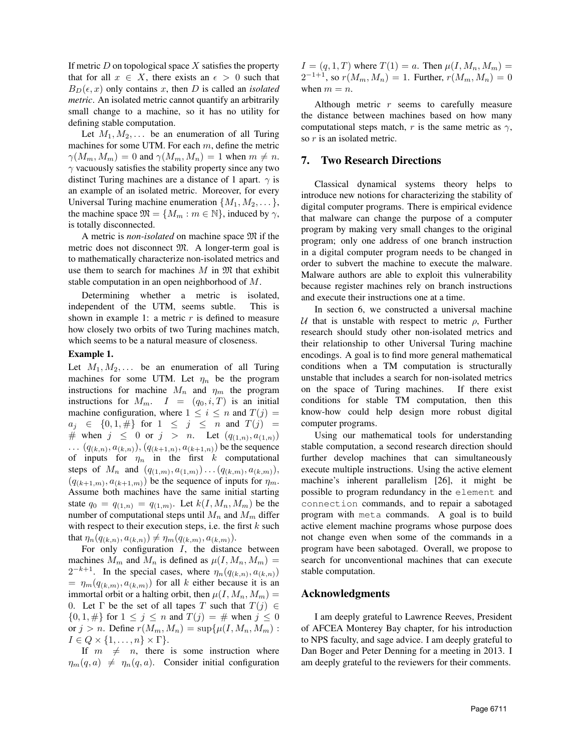If metric  $D$  on topological space  $X$  satisfies the property that for all  $x \in X$ , there exists an  $\epsilon > 0$  such that  $B_D(\epsilon, x)$  only contains x, then D is called an *isolated metric*. An isolated metric cannot quantify an arbitrarily small change to a machine, so it has no utility for defining stable computation.

Let  $M_1, M_2, \ldots$  be an enumeration of all Turing machines for some UTM. For each  $m$ , define the metric  $\gamma(M_m, M_m) = 0$  and  $\gamma(M_m, M_n) = 1$  when  $m \neq n$ .  $\gamma$  vacuously satisfies the stability property since any two distinct Turing machines are a distance of 1 apart.  $\gamma$  is an example of an isolated metric. Moreover, for every Universal Turing machine enumeration  $\{M_1, M_2, \dots\}$ , the machine space  $\mathfrak{M} = \{M_m : m \in \mathbb{N}\}\,$ , induced by  $\gamma$ , is totally disconnected.

A metric is *non-isolated* on machine space M if the metric does not disconnect M. A longer-term goal is to mathematically characterize non-isolated metrics and use them to search for machines  $M$  in  $\mathfrak M$  that exhibit stable computation in an open neighborhood of M.

Determining whether a metric is isolated, independent of the UTM, seems subtle. This is shown in example 1: a metric  $r$  is defined to measure how closely two orbits of two Turing machines match, which seems to be a natural measure of closeness.

#### Example 1.

Let  $M_1, M_2, \ldots$  be an enumeration of all Turing machines for some UTM. Let  $\eta_n$  be the program instructions for machine  $M_n$  and  $\eta_m$  the program instructions for  $M_m$ .  $I = (q_0, i, T)$  is an initial machine configuration, where  $1 \leq i \leq n$  and  $T(j) =$  $a_j \in \{0, 1, \#\}$  for  $1 \leq j \leq n$  and  $T(j) =$ # when  $j \leq 0$  or  $j > n$ . Let  $(q_{(1,n)}, a_{(1,n)})$ ...  $(q_{(k,n)}, a_{(k,n)})$ ,  $(q_{(k+1,n)}, a_{(k+1,n)})$  be the sequence of inputs for  $\eta_n$  in the first k computational steps of  $M_n$  and  $(q_{(1,m)}, a_{(1,m)}) \dots (q_{(k,m)}, a_{(k,m)}),$  $(q_{(k+1,m)}, a_{(k+1,m)})$  be the sequence of inputs for  $\eta_m$ . Assume both machines have the same initial starting state  $q_0 = q_{(1,n)} = q_{(1,m)}$ . Let  $k(I, M_n, M_m)$  be the number of computational steps until  $M_n$  and  $M_m$  differ with respect to their execution steps, i.e. the first  $k$  such that  $\eta_n(q_{(k,n)}, a_{(k,n)}) \neq \eta_m(q_{(k,m)}, a_{(k,m)})$ .

For only configuration  $I$ , the distance between machines  $M_m$  and  $M_n$  is defined as  $\mu(I, M_n, M_m)$  =  $2^{-k+1}$ . In the special cases, where  $\eta_n(q_{(k,n)}, a_{(k,n)})$  $= \eta_m(q_{(k,m)}, a_{(k,m)})$  for all k either because it is an immortal orbit or a halting orbit, then  $\mu(I, M_n, M_m)$  = 0. Let  $\Gamma$  be the set of all tapes T such that  $T(j) \in$  $\{0, 1, \#\}$  for  $1 \le j \le n$  and  $T(j) = \#$  when  $j \le 0$ or  $j > n$ . Define  $r(M_m, M_n) = \sup \{ \mu(I, M_n, M_m) :$  $I \in Q \times \{1, \ldots, n\} \times \Gamma$ .

If  $m \neq n$ , there is some instruction where  $\eta_m(q, a) \neq \eta_n(q, a)$ . Consider initial configuration  $I = (q, 1, T)$  where  $T(1) = a$ . Then  $\mu(I, M_n, M_m) =$  $2^{-1+1}$ , so  $r(M_m, M_n) = 1$ . Further,  $r(M_m, M_n) = 0$ when  $m = n$ .

Although metric  $r$  seems to carefully measure the distance between machines based on how many computational steps match, r is the same metric as  $\gamma$ , so r is an isolated metric.

#### 7. Two Research Directions

Classical dynamical systems theory helps to introduce new notions for characterizing the stability of digital computer programs. There is empirical evidence that malware can change the purpose of a computer program by making very small changes to the original program; only one address of one branch instruction in a digital computer program needs to be changed in order to subvert the machine to execute the malware. Malware authors are able to exploit this vulnerability because register machines rely on branch instructions and execute their instructions one at a time.

In section 6, we constructed a universal machine U that is unstable with respect to metric  $\rho$ , Further research should study other non-isolated metrics and their relationship to other Universal Turing machine encodings. A goal is to find more general mathematical conditions when a TM computation is structurally unstable that includes a search for non-isolated metrics on the space of Turing machines. If there exist conditions for stable TM computation, then this know-how could help design more robust digital computer programs.

Using our mathematical tools for understanding stable computation, a second research direction should further develop machines that can simultaneously execute multiple instructions. Using the active element machine's inherent parallelism [26], it might be possible to program redundancy in the element and connection commands, and to repair a sabotaged program with meta commands. A goal is to build active element machine programs whose purpose does not change even when some of the commands in a program have been sabotaged. Overall, we propose to search for unconventional machines that can execute stable computation.

#### Acknowledgments

I am deeply grateful to Lawrence Reeves, President of AFCEA Monterey Bay chapter, for his introduction to NPS faculty, and sage advice. I am deeply grateful to Dan Boger and Peter Denning for a meeting in 2013. I am deeply grateful to the reviewers for their comments.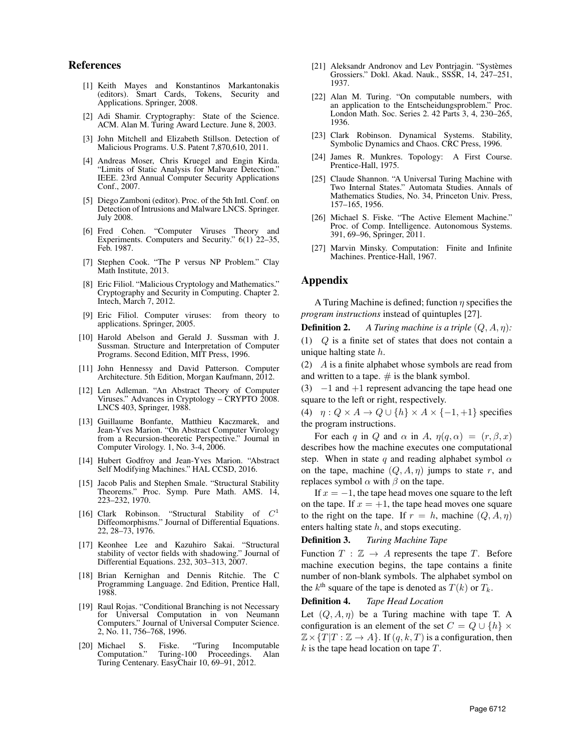## References

- [1] Keith Mayes and Konstantinos Markantonakis (editors). Smart Cards, Tokens, Applications. Springer, 2008.
- [2] Adi Shamir. Cryptography: State of the Science. ACM. Alan M. Turing Award Lecture. June 8, 2003.
- [3] John Mitchell and Elizabeth Stillson. Detection of Malicious Programs. U.S. Patent 7,870,610, 2011.
- [4] Andreas Moser, Chris Kruegel and Engin Kirda. "Limits of Static Analysis for Malware Detection." IEEE. 23rd Annual Computer Security Applications Conf., 2007.
- [5] Diego Zamboni (editor). Proc. of the 5th Intl. Conf. on Detection of Intrusions and Malware LNCS. Springer. July 2008.
- [6] Fred Cohen. "Computer Viruses Theory and Experiments. Computers and Security." 6(1) 22–35, Feb. 1987.
- [7] Stephen Cook. "The P versus NP Problem." Clay Math Institute, 2013.
- [8] Eric Filiol. "Malicious Cryptology and Mathematics." Cryptography and Security in Computing. Chapter 2. Intech, March 7, 2012.
- [9] Eric Filiol. Computer viruses: from theory to applications. Springer, 2005.
- [10] Harold Abelson and Gerald J. Sussman with J. Sussman. Structure and Interpretation of Computer Programs. Second Edition, MIT Press, 1996.
- [11] John Hennessy and David Patterson. Computer Architecture. 5th Edition, Morgan Kaufmann, 2012.
- [12] Len Adleman. "An Abstract Theory of Computer Viruses." Advances in Cryptology – CRYPTO 2008. LNCS 403, Springer, 1988.
- [13] Guillaume Bonfante, Matthieu Kaczmarek, and Jean-Yves Marion. "On Abstract Computer Virology from a Recursion-theoretic Perspective." Journal in Computer Virology. 1, No. 3-4, 2006.
- [14] Hubert Godfroy and Jean-Yves Marion. "Abstract Self Modifying Machines." HAL CCSD, 2016.
- [15] Jacob Palis and Stephen Smale. "Structural Stability Theorems." Proc. Symp. Pure Math. AMS. 14, 223–232, 1970.
- [16] Clark Robinson. "Structural Stability of  $C^1$ Diffeomorphisms." Journal of Differential Equations. 22, 28–73, 1976.
- [17] Keonhee Lee and Kazuhiro Sakai. "Structural stability of vector fields with shadowing." Journal of Differential Equations. 232, 303–313, 2007.
- [18] Brian Kernighan and Dennis Ritchie. The C Programming Language. 2nd Edition, Prentice Hall, 1988.
- [19] Raul Rojas. "Conditional Branching is not Necessary for Universal Computation in von Neumann Computers." Journal of Universal Computer Science. 2, No. 11, 756–768, 1996.
- [20] Michael S. Fiske. "Turing Incomputable Turing-100 Proceedings. Alan Turing Centenary. EasyChair 10, 69–91, 2012.
- [21] Aleksandr Andronov and Lev Pontrjagin. "Systèmes Grossiers." Dokl. Akad. Nauk., SSSR, 14, 247–251, 1937.
- [22] Alan M. Turing. "On computable numbers, with an application to the Entscheidungsproblem." Proc. London Math. Soc. Series 2. 42 Parts 3, 4, 230–265, 1936.
- [23] Clark Robinson. Dynamical Systems. Stability, Symbolic Dynamics and Chaos. CRC Press, 1996.
- [24] James R. Munkres. Topology: A First Course. Prentice-Hall, 1975.
- [25] Claude Shannon. "A Universal Turing Machine with Two Internal States." Automata Studies. Annals of Mathematics Studies, No. 34, Princeton Univ. Press, 157–165, 1956.
- [26] Michael S. Fiske. "The Active Element Machine." Proc. of Comp. Intelligence. Autonomous Systems. 391, 69–96, Springer, 2011.
- [27] Marvin Minsky. Computation: Finite and Infinite Machines. Prentice-Hall, 1967.

## Appendix

A Turing Machine is defined; function  $\eta$  specifies the *program instructions* instead of quintuples [27].

**Definition 2.** *A Turing machine is a triple*  $(Q, A, \eta)$ :

(1) Q is a finite set of states that does not contain a unique halting state  $h$ .

(2) A is a finite alphabet whose symbols are read from and written to a tape.  $\#$  is the blank symbol.

(3)  $-1$  and  $+1$  represent advancing the tape head one square to the left or right, respectively.

(4)  $\eta: Q \times A \rightarrow Q \cup \{h\} \times A \times \{-1, +1\}$  specifies the program instructions.

For each q in Q and  $\alpha$  in A,  $\eta(q, \alpha) = (r, \beta, x)$ describes how the machine executes one computational step. When in state q and reading alphabet symbol  $\alpha$ on the tape, machine  $(Q, A, \eta)$  jumps to state r, and replaces symbol  $\alpha$  with  $\beta$  on the tape.

If  $x = -1$ , the tape head moves one square to the left on the tape. If  $x = +1$ , the tape head moves one square to the right on the tape. If  $r = h$ , machine  $(Q, A, \eta)$ enters halting state  $h$ , and stops executing.

Definition 3. *Turing Machine Tape*

Function  $T : \mathbb{Z} \to A$  represents the tape T. Before machine execution begins, the tape contains a finite number of non-blank symbols. The alphabet symbol on the  $k^{\text{th}}$  square of the tape is denoted as  $T(k)$  or  $T_k$ .

#### Definition 4. *Tape Head Location*

Let  $(Q, A, \eta)$  be a Turing machine with tape T. A configuration is an element of the set  $C = Q \cup \{h\} \times$  $\mathbb{Z} \times \{T | T : \mathbb{Z} \to A\}$ . If  $(q, k, T)$  is a configuration, then  $k$  is the tape head location on tape  $T$ .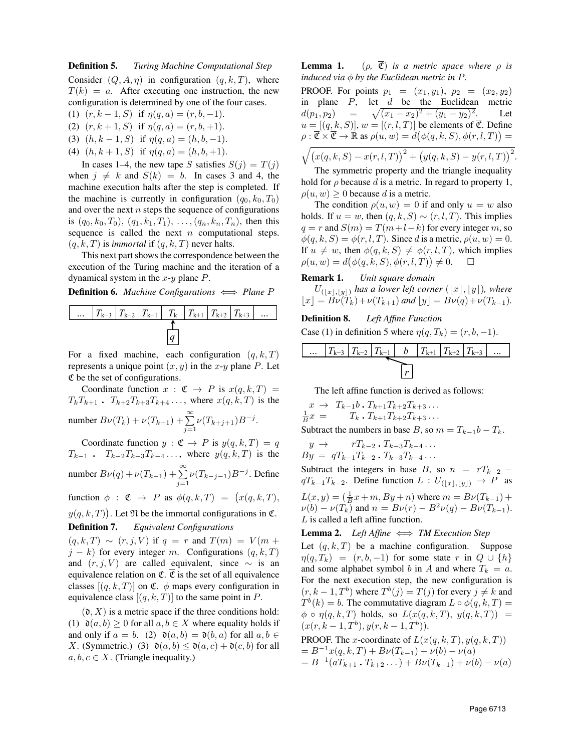## Definition 5. *Turing Machine Computational Step* Consider  $(Q, A, \eta)$  in configuration  $(q, k, T)$ , where  $T(k) = a$ . After executing one instruction, the new configuration is determined by one of the four cases.

- (1)  $(r, k-1, S)$  if  $\eta(q, a) = (r, b, -1)$ .
- (2)  $(r, k+1, S)$  if  $\eta(q, a) = (r, b, +1)$ .
- (3)  $(h, k-1, S)$  if  $\eta(q, a) = (h, b, -1)$ .
- (4)  $(h, k+1, S)$  if  $\eta(q, a) = (h, b, +1)$ .

In cases 1–4, the new tape S satisfies  $S(i) = T(i)$ when  $j \neq k$  and  $S(k) = b$ . In cases 3 and 4, the machine execution halts after the step is completed. If the machine is currently in configuration  $(q_0, k_0, T_0)$ and over the next  $n$  steps the sequence of configurations is  $(q_0, k_0, T_0), (q_1, k_1, T_1), \ldots, (q_n, k_n, T_n)$ , then this sequence is called the next  $n$  computational steps.  $(q, k, T)$  is *immortal* if  $(q, k, T)$  never halts.

This next part shows the correspondence between the execution of the Turing machine and the iteration of a dynamical system in the  $x-y$  plane  $P$ .

**Definition 6.** *Machine Configurations*  $\iff$  *Plane P* 



For a fixed machine, each configuration  $(q, k, T)$ represents a unique point  $(x, y)$  in the x-y plane P. Let C be the set of configurations.

Coordinate function  $x : \mathfrak{C} \to P$  is  $x(q, k, T) =$  $T_kT_{k+1}$ .  $T_{k+2}T_{k+3}T_{k+4}$ ..., where  $x(q, k, T)$  is the number  $B\nu(T_k) + \nu(T_{k+1}) + \sum_{j=1}^{\infty} \nu(T_{k+j+1})B^{-j}$ .

Coordinate function  $y : \mathfrak{C} \to P$  is  $y(q, k, T) = q$  $T_{k-1}$  .  $T_{k-2}T_{k-3}T_{k-4}$ ..., where  $y(q, k, T)$  is the number  $B\nu(q) + \nu(T_{k-1}) + \sum_{j=1}^{\infty} \nu(T_{k-j-1})B^{-j}$ . Define

function  $\phi : \mathfrak{C} \to P$  as  $\phi(q, k, T) = (x(q, k, T),$ 

 $y(q, k, T)$ . Let  $\mathfrak N$  be the immortal configurations in  $\mathfrak C$ .

# Definition 7. *Equivalent Configurations*

 $(q, k, T) \sim (r, j, V)$  if  $q = r$  and  $T(m) = V(m +$  $j - k$ ) for every integer m. Configurations  $(q, k, T)$ and  $(r, j, V)$  are called equivalent, since  $\sim$  is an equivalence relation on  $\mathfrak{C}$ .  $\overline{\mathfrak{C}}$  is the set of all equivalence classes  $[(q, k, T)]$  on C.  $\phi$  maps every configuration in equivalence class  $[(q, k, T)]$  to the same point in P.

 $(0, X)$  is a metric space if the three conditions hold: (1)  $\mathfrak{d}(a, b) \geq 0$  for all  $a, b \in X$  where equality holds if and only if  $a = b$ . (2)  $\mathfrak{d}(a, b) = \mathfrak{d}(b, a)$  for all  $a, b \in$ X. (Symmetric.) (3)  $\mathfrak{d}(a, b) \leq \mathfrak{d}(a, c) + \mathfrak{d}(c, b)$  for all  $a, b, c \in X$ . (Triangle inequality.)

**Lemma 1.** ( $\rho$ ,  $\overline{C}$ ) *is a metric space where*  $\rho$  *is induced via*  $\phi$  *by the Euclidean metric in P.* 

**PROOF.** For points  $p_1 = (x_1, y_1), p_2 = (x_2, y_2)$ in plane  $P$ , let  $d$  be the Euclidean metric  $d(p_1, p_2) = \sqrt{(x_1 - x_2)^2 + (y_1 - y_2)}$ Let  $u = [(q, k, S)], w = [(r, l, T)]$  be elements of  $\overline{\mathfrak{C}}$ . Define  $\rho : \overline{\mathfrak{C}} \times \overline{\mathfrak{C}} \to \mathbb{R}$  as  $\rho(u,w) = d(\phi(q,k,S), \phi(r,l,T)) =$  $\sqrt{(x(q, k, S) - x(r, l, T))^{2} + (y(q, k, S) - y(r, l, T))^{2}}$ .

The symmetric property and the triangle inequality hold for  $\rho$  because d is a metric. In regard to property 1,  $\rho(u, w) \geq 0$  because d is a metric.

The condition  $\rho(u, w) = 0$  if and only  $u = w$  also holds. If  $u = w$ , then  $(q, k, S) \sim (r, l, T)$ . This implies  $q = r$  and  $S(m) = T(m+l-k)$  for every integer m, so  $\phi(q, k, S) = \phi(r, l, T)$ . Since d is a metric,  $\rho(u, w) = 0$ . If  $u \neq w$ , then  $\phi(q, k, S) \neq \phi(r, l, T)$ , which implies  $\rho(u, w) = d(\phi(q, k, S), \phi(r, l, T)) \neq 0.$ 

## Remark 1. *Unit square domain*

 $U_{\left(\lfloor x\rfloor,\lfloor y\rfloor\right)}$  has a lower left corner  $\left(\lfloor x\rfloor,\lfloor y\rfloor\right)$ , where  $\lfloor x \rfloor = B\nu(T_k)+\nu(T_{k+1})$  *and*  $\lfloor y \rfloor = B\nu(q)+\nu(T_{k-1}).$ 

Definition 8. *Left Affine Function* Case (1) in definition 5 where  $\eta(q, T_k) = (r, b, -1)$ .

... 
$$
|T_{k-3}|T_{k-2}|T_{k-1}|
$$
  $b$   $|T_{k+1}|T_{k+2}|T_{k+3}|$  ...

The left affine function is derived as follows:

$$
x \to T_{k-1}b \cdot T_{k+1}T_{k+2}T_{k+3} \dots
$$
  

$$
\frac{1}{B}x = T_k \cdot T_{k+1}T_{k+2}T_{k+3} \dots
$$

Subtract the numbers in base B, so  $m = T_{k-1}b - T_k$ .

$$
y \to rT_{k-2} \cdot T_{k-3}T_{k-4} \cdots
$$
  
\n
$$
By = qT_{k-1}T_{k-2} \cdot T_{k-3}T_{k-4} \cdots
$$

Subtract the integers in base B, so  $n = rT_{k-2}$  –  $qT_{k-1}T_{k-2}$ . Define function  $L: U_{(\lfloor x \rfloor, \lfloor y \rfloor)} \to P$  as  $L(x, y) = (\frac{1}{B}x + m, By + n)$  where  $m = B\nu(T_{k-1}) +$  $\nu(b) - \nu(T_k)$  and  $n = B\nu(r) - B^2\nu(q) - B\nu(T_{k-1}).$ L is called a left affine function.

**Lemma 2.** *Left Affine*  $\iff TM$  *Execution Step* 

Let  $(q, k, T)$  be a machine configuration. Suppose  $\eta(q, T_k) = (r, b, -1)$  for some state r in  $Q \cup \{h\}$ and some alphabet symbol b in A and where  $T_k = a$ . For the next execution step, the new configuration is  $(r, k-1, T<sup>b</sup>)$  where  $T<sup>b</sup>(j) = T(j)$  for every  $j \neq k$  and  $T^b(k) = b$ . The commutative diagram  $L \circ \phi(q, k, T) =$  $\phi \circ \eta(q, k, T)$  holds, so  $L(x(q, k, T), y(q, k, T)) =$  $(x(r, k-1, T^b), y(r, k-1, T^b)).$ 

**PROOF.** The *x*-coordinate of 
$$
L(x(q, k, T), y(q, k, T))
$$
  
=  $B^{-1}x(q, k, T) + B\nu(T_{k-1}) + \nu(b) - \nu(a)$   
=  $B^{-1}(aT_{k+1} \cdot T_{k+2} \dots) + B\nu(T_{k-1}) + \nu(b) - \nu(a)$